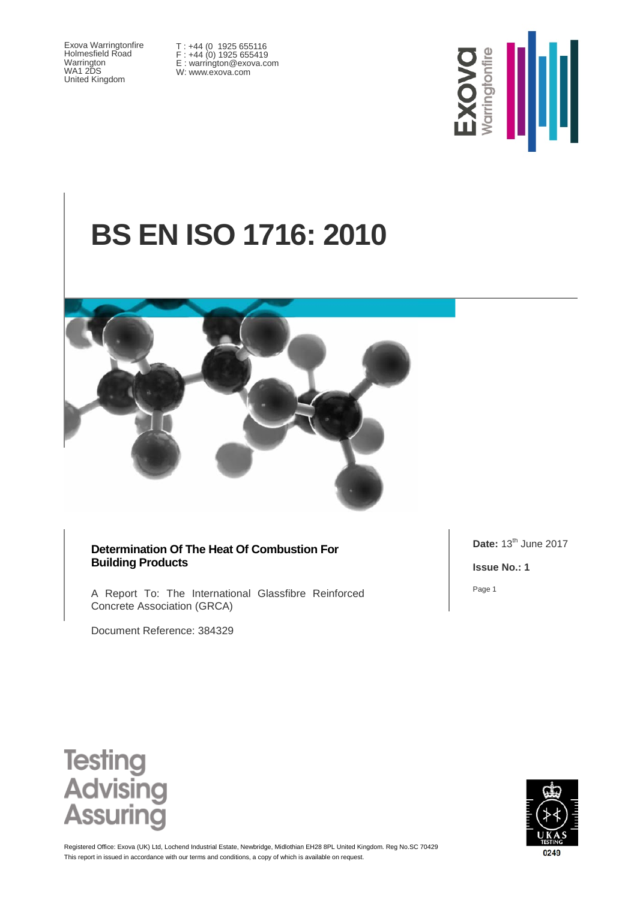Exova Warringtonfire Holmesfield Road Warrington WA1 2DS United Kingdom

T : +44 (0 1925 655116 F : +44 (0) 1925 655419 E : warrington@exova.com W: www.exova.com



# **BS EN ISO 1716: 2010**



#### **Determination Of The Heat Of Combustion For Building Products**

A Report To: The International Glassfibre Reinforced Concrete Association (GRCA)

Document Reference: 384329

**Date:** 13<sup>th</sup> June 2017

**Issue No.: 1**

Page 1





This report in issued in accordance with our terms and conditions, a copy of which is available on request. Registered Office: Exova (UK) Ltd, Lochend Industrial Estate, Newbridge, Midlothian EH28 8PL United Kingdom. Reg No.SC 70429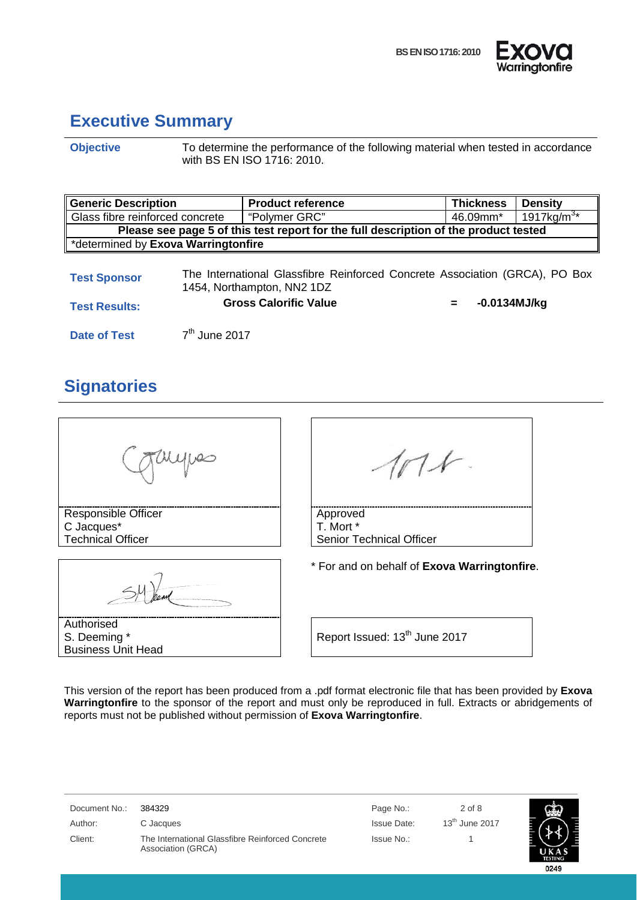



0249

### <span id="page-1-0"></span>**Executive Summary**

**Objective** To determine the performance of the following material when tested in accordance with BS EN ISO 1716: 2010.

| <b>Generic Description</b>                                                                                                       |                                                              | <b>Product reference</b>     |     | <b>Thickness</b> | <b>Density</b> |
|----------------------------------------------------------------------------------------------------------------------------------|--------------------------------------------------------------|------------------------------|-----|------------------|----------------|
|                                                                                                                                  | Glass fibre reinforced concrete<br>"Polymer GRC"<br>46.09mm* |                              |     |                  | 1917kg/m $3*$  |
| Please see page 5 of this test report for the full description of the product tested                                             |                                                              |                              |     |                  |                |
| *determined by Exova Warringtonfire                                                                                              |                                                              |                              |     |                  |                |
| The International Glassfibre Reinforced Concrete Association (GRCA), PO Box<br><b>Test Sponsor</b><br>1454, Northampton, NN2 1DZ |                                                              |                              |     |                  |                |
| <b>Test Results:</b>                                                                                                             |                                                              | <b>Gross Calorific Value</b> | $=$ | $-0.0134$ MJ/kg  |                |
| Date of Test                                                                                                                     | $7th$ June 2017                                              |                              |     |                  |                |

### <span id="page-1-1"></span>**Signatories**

| Responsible Officer<br>C Jacques*<br><b>Technical Officer</b> | Approved<br>T. Mort *<br><b>Senior Technical Officer</b> |
|---------------------------------------------------------------|----------------------------------------------------------|
|                                                               | * For and on behalf of Exova Warringtonfire.             |
| Authorised<br>S. Deeming *<br><b>Business Unit Head</b>       | Report Issued: 13 <sup>th</sup> June 2017                |

This version of the report has been produced from a .pdf format electronic file that has been provided by **Exova Warringtonfire** to the sponsor of the report and must only be reproduced in full. Extracts or abridgements of reports must not be published without permission of **Exova Warringtonfire**.

| Document No.: | 384329                                                                 | Page No.:   | $2$ of 8                   | ඥා             |
|---------------|------------------------------------------------------------------------|-------------|----------------------------|----------------|
| Author:       | C Jacques                                                              | Issue Date: | $13^{\text{th}}$ June 2017 |                |
| Client:       | The International Glassfibre Reinforced Concrete<br>Association (GRCA) | Issue No.:  |                            | <b>TESTING</b> |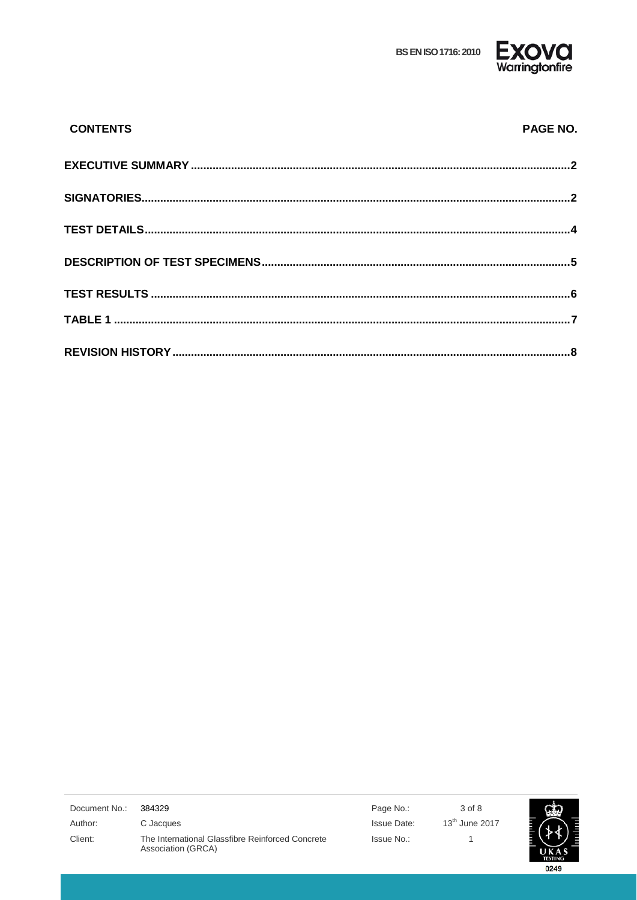**BS EN ISO 1716: 2010** 



| <b>CONTENTS</b> | PAGE NO. |
|-----------------|----------|
|                 |          |
|                 |          |
|                 |          |
|                 |          |
|                 |          |
|                 |          |
|                 |          |

| Document No.: | 384329                                                                 | Page No.:   | 3 of 8           |
|---------------|------------------------------------------------------------------------|-------------|------------------|
| Author:       | C Jacques                                                              | Issue Date: | $13th$ June 2017 |
| Client:       | The International Glassfibre Reinforced Concrete<br>Association (GRCA) | Issue No.:  |                  |

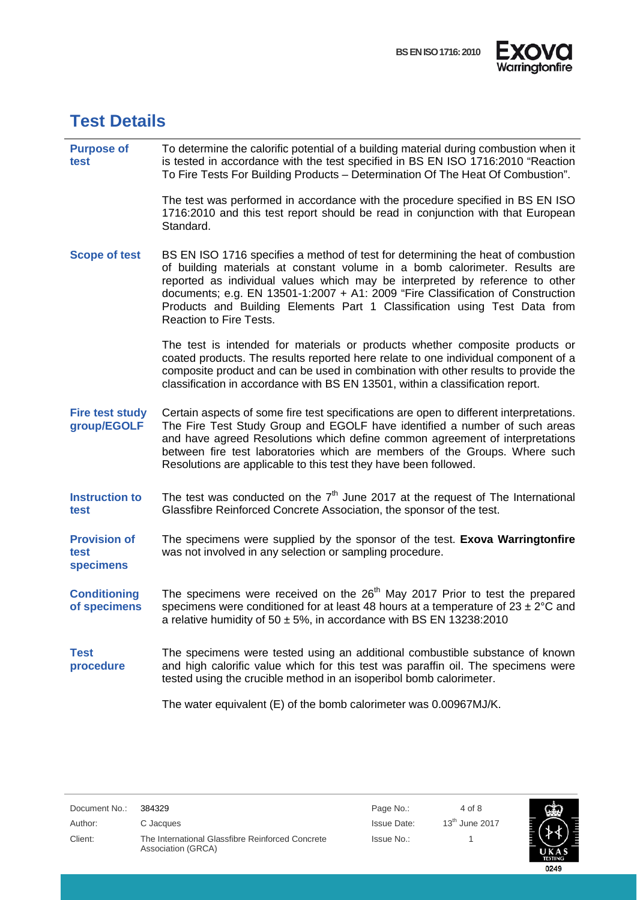



### <span id="page-3-0"></span>**Test Details**

 $\overline{a}$ 

| <b>Purpose of</b><br>test                | To determine the calorific potential of a building material during combustion when it<br>is tested in accordance with the test specified in BS EN ISO 1716:2010 "Reaction<br>To Fire Tests For Building Products - Determination Of The Heat Of Combustion".                                                                                                                                                                                      |
|------------------------------------------|---------------------------------------------------------------------------------------------------------------------------------------------------------------------------------------------------------------------------------------------------------------------------------------------------------------------------------------------------------------------------------------------------------------------------------------------------|
|                                          | The test was performed in accordance with the procedure specified in BS EN ISO<br>1716:2010 and this test report should be read in conjunction with that European<br>Standard.                                                                                                                                                                                                                                                                    |
| <b>Scope of test</b>                     | BS EN ISO 1716 specifies a method of test for determining the heat of combustion<br>of building materials at constant volume in a bomb calorimeter. Results are<br>reported as individual values which may be interpreted by reference to other<br>documents; e.g. EN 13501-1:2007 + A1: 2009 "Fire Classification of Construction<br>Products and Building Elements Part 1 Classification using Test Data from<br><b>Reaction to Fire Tests.</b> |
|                                          | The test is intended for materials or products whether composite products or<br>coated products. The results reported here relate to one individual component of a<br>composite product and can be used in combination with other results to provide the<br>classification in accordance with BS EN 13501, within a classification report.                                                                                                        |
| <b>Fire test study</b><br>group/EGOLF    | Certain aspects of some fire test specifications are open to different interpretations.<br>The Fire Test Study Group and EGOLF have identified a number of such areas<br>and have agreed Resolutions which define common agreement of interpretations<br>between fire test laboratories which are members of the Groups. Where such<br>Resolutions are applicable to this test they have been followed.                                           |
| <b>Instruction to</b><br>test            | The test was conducted on the $7th$ June 2017 at the request of The International<br>Glassfibre Reinforced Concrete Association, the sponsor of the test.                                                                                                                                                                                                                                                                                         |
| <b>Provision of</b><br>test<br>specimens | The specimens were supplied by the sponsor of the test. Exova Warringtonfire<br>was not involved in any selection or sampling procedure.                                                                                                                                                                                                                                                                                                          |
| <b>Conditioning</b><br>of specimens      | The specimens were received on the 26 <sup>th</sup> May 2017 Prior to test the prepared<br>specimens were conditioned for at least 48 hours at a temperature of $23 \pm 2^{\circ}C$ and<br>a relative humidity of $50 \pm 5\%$ , in accordance with BS EN 13238:2010                                                                                                                                                                              |
| <b>Test</b><br>procedure                 | The specimens were tested using an additional combustible substance of known<br>and high calorific value which for this test was paraffin oil. The specimens were<br>tested using the crucible method in an isoperibol bomb calorimeter.                                                                                                                                                                                                          |
|                                          | The water equivalent (E) of the bomb calorimeter was 0.00967MJ/K.                                                                                                                                                                                                                                                                                                                                                                                 |

Issue No.: 1

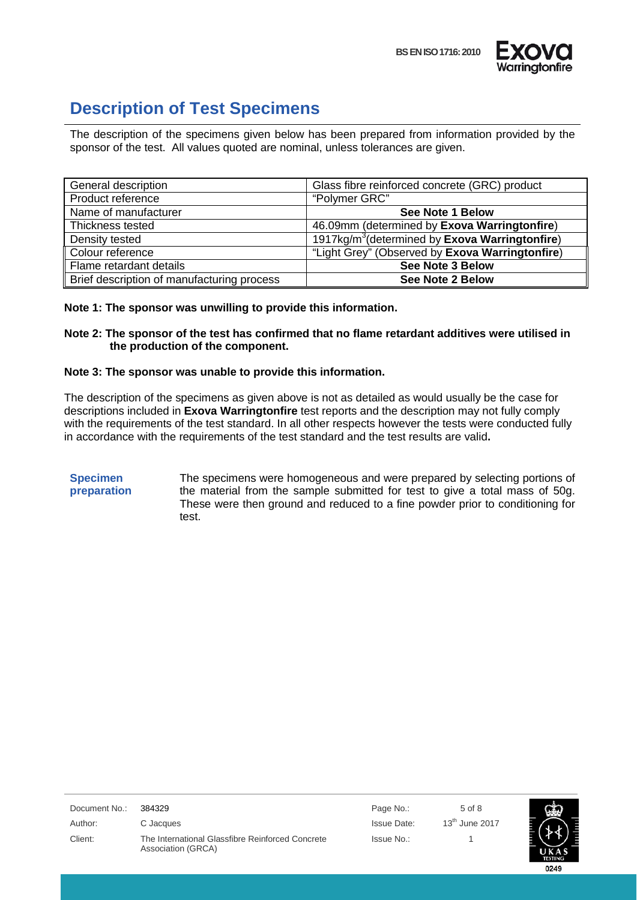



### <span id="page-4-0"></span>**Description of Test Specimens**

The description of the specimens given below has been prepared from information provided by the sponsor of the test. All values quoted are nominal, unless tolerances are given.

| General description                        | Glass fibre reinforced concrete (GRC) product                      |
|--------------------------------------------|--------------------------------------------------------------------|
| Product reference                          | "Polymer GRC"                                                      |
| Name of manufacturer                       | <b>See Note 1 Below</b>                                            |
| Thickness tested                           | 46.09mm (determined by Exova Warringtonfire)                       |
| Density tested                             | 1917kg/m <sup>3</sup> (determined by <b>Exova Warringtonfire</b> ) |
| Colour reference                           | "Light Grey" (Observed by Exova Warringtonfire)                    |
| Flame retardant details                    | <b>See Note 3 Below</b>                                            |
| Brief description of manufacturing process | <b>See Note 2 Below</b>                                            |

#### **Note 1: The sponsor was unwilling to provide this information.**

#### **Note 2: The sponsor of the test has confirmed that no flame retardant additives were utilised in the production of the component.**

#### **Note 3: The sponsor was unable to provide this information.**

The description of the specimens as given above is not as detailed as would usually be the case for descriptions included in **Exova Warringtonfire** test reports and the description may not fully comply with the requirements of the test standard. In all other respects however the tests were conducted fully in accordance with the requirements of the test standard and the test results are valid**.**

#### **Specimen preparation**

The specimens were homogeneous and were prepared by selecting portions of the material from the sample submitted for test to give a total mass of 50g. These were then ground and reduced to a fine powder prior to conditioning for test.

| Document No.: | 384329                                                                 | Page No.:   | $5$ of $8$       |
|---------------|------------------------------------------------------------------------|-------------|------------------|
| Author:       | C Jacques                                                              | Issue Date: | $13th$ June 2017 |
| Client:       | The International Glassfibre Reinforced Concrete<br>Association (GRCA) | Issue No.:  |                  |

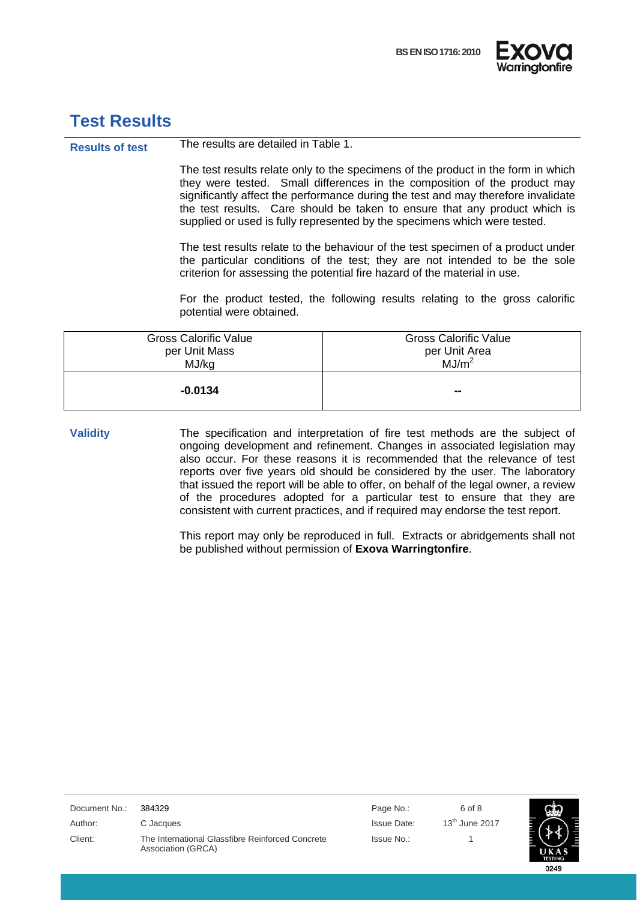



### <span id="page-5-0"></span>**Test Results**

**Results of test** The results are detailed in Table 1.

The test results relate only to the specimens of the product in the form in which they were tested. Small differences in the composition of the product may significantly affect the performance during the test and may therefore invalidate the test results. Care should be taken to ensure that any product which is supplied or used is fully represented by the specimens which were tested.

The test results relate to the behaviour of the test specimen of a product under the particular conditions of the test; they are not intended to be the sole criterion for assessing the potential fire hazard of the material in use.

For the product tested, the following results relating to the gross calorific potential were obtained.

| <b>Gross Calorific Value</b><br>per Unit Mass | <b>Gross Calorific Value</b><br>per Unit Area |  |
|-----------------------------------------------|-----------------------------------------------|--|
| MJ/kg                                         | MJ/m <sup>2</sup>                             |  |
| $-0.0134$                                     | --                                            |  |

**Validity** The specification and interpretation of fire test methods are the subject of ongoing development and refinement. Changes in associated legislation may also occur. For these reasons it is recommended that the relevance of test reports over five years old should be considered by the user. The laboratory that issued the report will be able to offer, on behalf of the legal owner, a review of the procedures adopted for a particular test to ensure that they are consistent with current practices, and if required may endorse the test report.

> This report may only be reproduced in full. Extracts or abridgements shall not be published without permission of **Exova Warringtonfire**.

| Document No.: | 384329                                                                 | Page No.:          | 6 of 8           |                |
|---------------|------------------------------------------------------------------------|--------------------|------------------|----------------|
| Author:       | C Jacques                                                              | <b>Issue Date:</b> | $13th$ June 2017 |                |
| Client:       | The International Glassfibre Reinforced Concrete<br>Association (GRCA) | Issue No.:         |                  | <b>TESTING</b> |

0249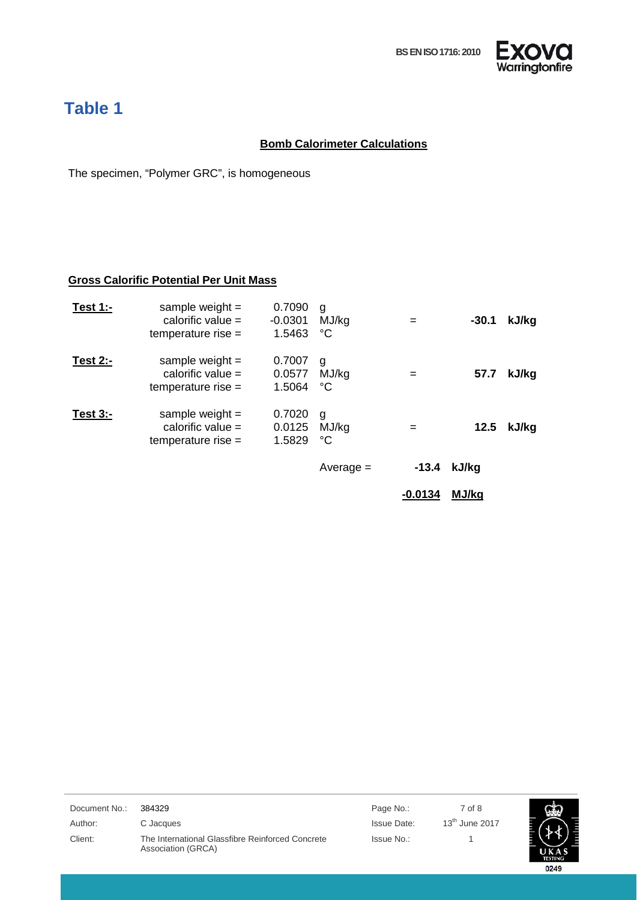

## <span id="page-6-0"></span>**Table 1**

### **Bomb Calorimeter Calculations**

The specimen, "Polymer GRC", is homogeneous

### **Gross Calorific Potential Per Unit Mass**

|             |                                                                    |                               |                           | $-0.0134$ | MJ/kg   |       |
|-------------|--------------------------------------------------------------------|-------------------------------|---------------------------|-----------|---------|-------|
|             |                                                                    |                               | $Average =$               | $-13.4$   | kJ/kg   |       |
| Test $3:-$  | sample weight $=$<br>calorific value $=$<br>$temperature$ rise $=$ | 0.7020<br>0.0125<br>1.5829    | g<br>MJ/kg<br>°C          | $=$       | 12.5    | kJ/kg |
| Test $2$ :- | sample weight $=$<br>calorific value $=$<br>temperature rise $=$   | 0.7007<br>0.0577<br>1.5064    | g<br>MJ/kg<br>$^{\circ}C$ | $=$       | 57.7    | kJ/kg |
| Test $1:-$  | sample weight $=$<br>calorific value $=$<br>temperature rise $=$   | 0.7090<br>$-0.0301$<br>1.5463 | g<br>MJ/kg<br>°C          | $=$       | $-30.1$ | kJ/kg |

| Document No.: | 384329                                                                 | Page No.:          | 7 of 8           |                |
|---------------|------------------------------------------------------------------------|--------------------|------------------|----------------|
| Author:       | C Jacques                                                              | <b>Issue Date:</b> | $13th$ June 2017 |                |
| Client:       | The International Glassfibre Reinforced Concrete<br>Association (GRCA) | Issue No.:         |                  | <b>TESTING</b> |
|               |                                                                        |                    |                  | 0249           |